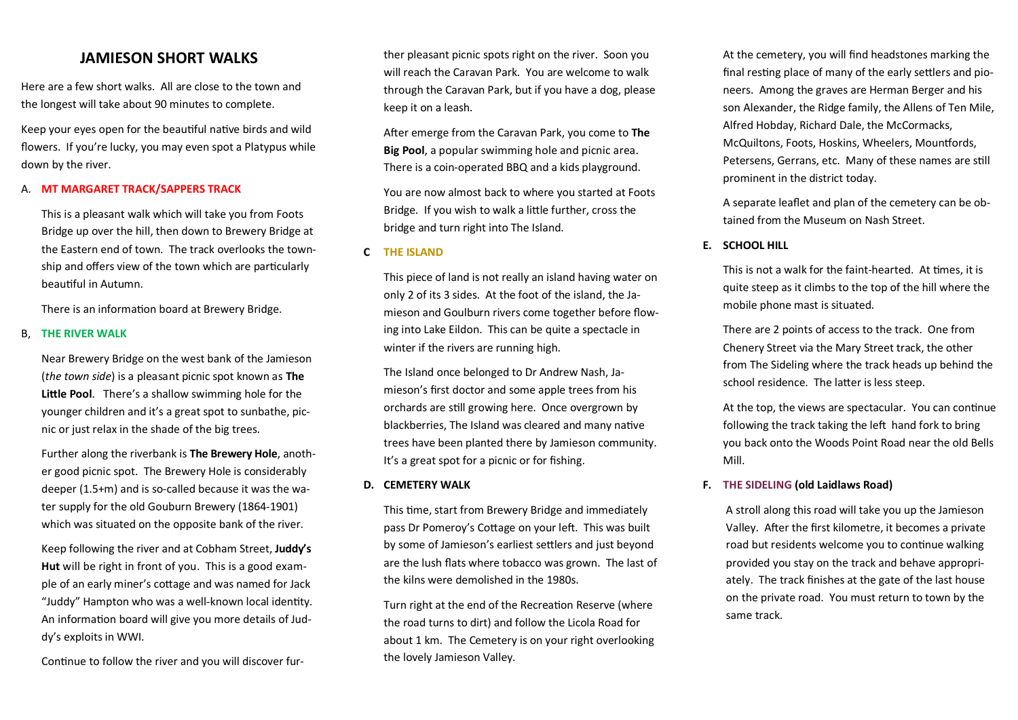# **JAMIESON SHORT WALKS**

Here are a few short walks. All are close to the town and the longest will take about 90 minutes to complete.

Keep your eyes open for the beautiful native birds and wild flowers. If you're lucky, you may even spot a Platypus while down by the river.

#### A. **MT MARGARET TRACK/SAPPERS TRACK**

This is a pleasant walk which will take you from Foots Bridge up over the hill, then down to Brewery Bridge at the Eastern end of town. The track overlooks the township and offers view of the town which are particularly beautiful in Autumn.

There is an information board at Brewery Bridge.

#### B, **THE RIVER WALK**

Near Brewery Bridge on the west bank of the Jamieson (*the town side*) is a pleasant picnic spot known as **The Little Pool**. There's a shallow swimming hole for the younger children and it's a great spot to sunbathe, picnic or just relax in the shade of the big trees.

Further along the riverbank is **The Brewery Hole**, another good picnic spot. The Brewery Hole is considerably deeper (1.5+m) and is so-called because it was the water supply for the old Gouburn Brewery (1864-1901) which was situated on the opposite bank of the river.

Keep following the river and at Cobham Street, **Juddy's Hut** will be right in front of you. This is a good example of an early miner's cottage and was named for Jack "Juddy" Hampton who was a well-known local identity. An information board will give you more details of Juddy's exploits in WWI.

Continue to follow the river and you will discover fur-

ther pleasant picnic spots right on the river. Soon you will reach the Caravan Park. You are welcome to walk through the Caravan Park, but if you have a dog, please keep it on a leash.

After emerge from the Caravan Park, you come to **The Big Pool**, a popular swimming hole and picnic area. There is a coin-operated BBQ and a kids playground.

You are now almost back to where you started at Foots Bridge. If you wish to walk a little further, cross the bridge and turn right into The Island.

### **C THE ISLAND**

This piece of land is not really an island having water on only 2 of its 3 sides. At the foot of the island, the Jamieson and Goulburn rivers come together before flowing into Lake Eildon. This can be quite a spectacle in winter if the rivers are running high.

The Island once belonged to Dr Andrew Nash, Jamieson's first doctor and some apple trees from his orchards are still growing here. Once overgrown by blackberries, The Island was cleared and many native trees have been planted there by Jamieson community. It's a great spot for a picnic or for fishing.

### **D. CEMETERY WALK**

This time, start from Brewery Bridge and immediately pass Dr Pomeroy's Cottage on your left. This was built by some of Jamieson's earliest settlers and just beyond are the lush flats where tobacco was grown. The last of the kilns were demolished in the 1980s.

Turn right at the end of the Recreation Reserve (where the road turns to dirt) and follow the Licola Road for about 1 km. The Cemetery is on your right overlooking the lovely Jamieson Valley.

At the cemetery, you will find headstones marking the final resting place of many of the early settlers and pioneers. Among the graves are Herman Berger and his son Alexander, the Ridge family, the Allens of Ten Mile, Alfred Hobday, Richard Dale, the McCormacks, McQuiltons, Foots, Hoskins, Wheelers, Mountfords, Petersens, Gerrans, etc. Many of these names are still prominent in the district today.

A separate leaflet and plan of the cemetery can be obtained from the Museum on Nash Street.

## **E. SCHOOL HILL**

This is not a walk for the faint-hearted. At times, it is quite steep as it climbs to the top of the hill where the mobile phone mast is situated.

There are 2 points of access to the track. One from Chenery Street via the Mary Street track, the other from The Sideling where the track heads up behind the school residence. The latter is less steep.

At the top, the views are spectacular. You can continue following the track taking the left hand fork to bring you back onto the Woods Point Road near the old Bells Mill.

## **F. THE SIDELING (old Laidlaws Road)**

A stroll along this road will take you up the Jamieson Valley. After the first kilometre, it becomes a private road but residents welcome you to continue walking provided you stay on the track and behave appropriately. The track finishes at the gate of the last house on the private road. You must return to town by the same track.